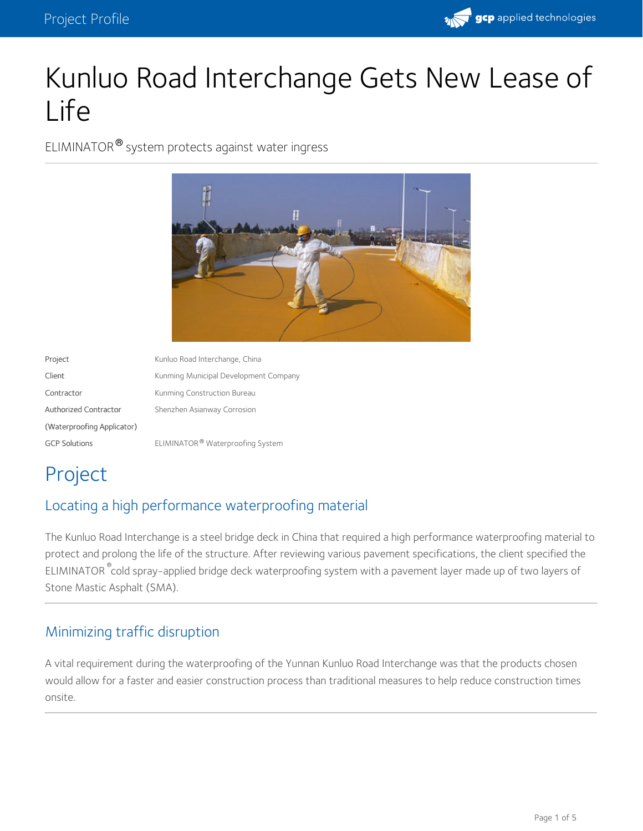

# Kunluo Road Interchange Gets New Lease of Life

ELIMINATOR® system protects against water ingress



Project Kunluo Road Interchange, China Client **Company** Kunming Municipal Development Company Contractor **Contractor** Kunming Construction Bureau Authorized Contractor (Waterproofing Applicator) Shenzhen Asianway Corrosion GCP Solutions **ELIMINATOR**<sup>®</sup> Waterproofing System

## Project

## Locating a high performance waterproofing material

The Kunluo Road Interchange is a steel bridge deck in China that required a high performance waterproofing material to protect and prolong the life of the structure. After reviewing various pavement specifications, the client specified the ELIMINATOR  $\degree$ cold spray-applied bridge deck waterproofing system with a pavement layer made up of two layers of Stone Mastic Asphalt (SMA).

## Minimizing traffic disruption

A vital requirement during the waterproofing of the Yunnan Kunluo Road Interchange was that the products chosen would allow for a faster and easier construction process than traditional measures to help reduce construction times onsite.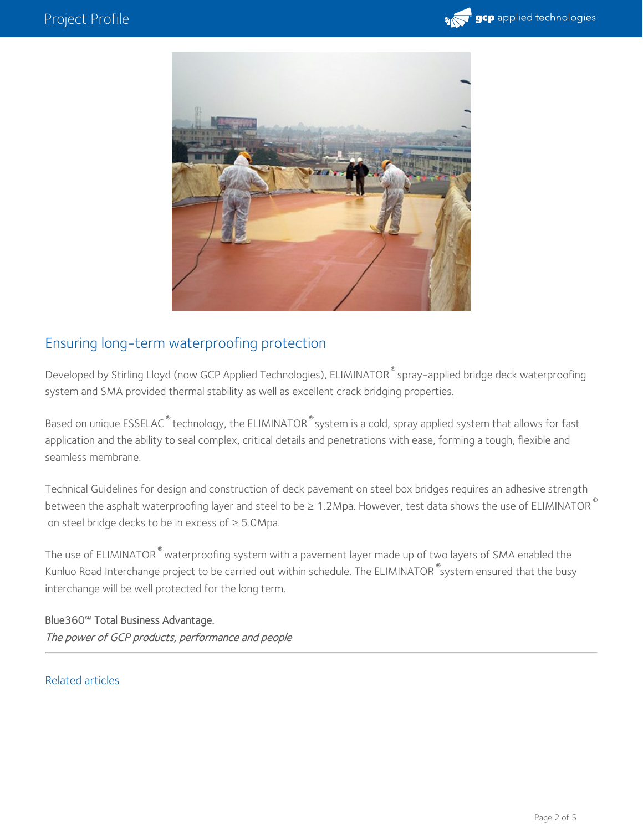



### Ensuring long-term waterproofing protection

Developed by Stirling Lloyd (now GCP Applied Technologies), ELIMINATOR $^\circ$ spray-applied bridge deck waterproofing system and SMA provided thermal stability as well as excellent crack bridging properties.

Based on unique <code>ESSELAC $^\circ$ technology,</code> the <code>ELIMINATOR</code>  $^\circ$ system is a cold, spray applied system that allows for fast application and the ability to seal complex, critical details and penetrations with ease, forming a tough, flexible and seamless membrane.

Technical Guidelines for design and construction of deck pavement on steel box bridges requires an adhesive strength between the asphalt waterproofing layer and steel to be ≥ 1.2Mpa. However, test data shows the use of ELIMINATOR  $^\circ$ on steel bridge decks to be in excess of  $\geq$  5.0Mpa.

The use of ELIMINATOR  $^\circ$  waterproofing system with a pavement layer made up of two layers of SMA enabled the Kunluo Road Interchange project to be carried out within schedule. The ELIMINATOR  $^\circ$ system ensured that the busy interchange will be well protected for the long term.

Blue360**℠** Total Business Advantage. The power of GCP products, performance and people

#### Related articles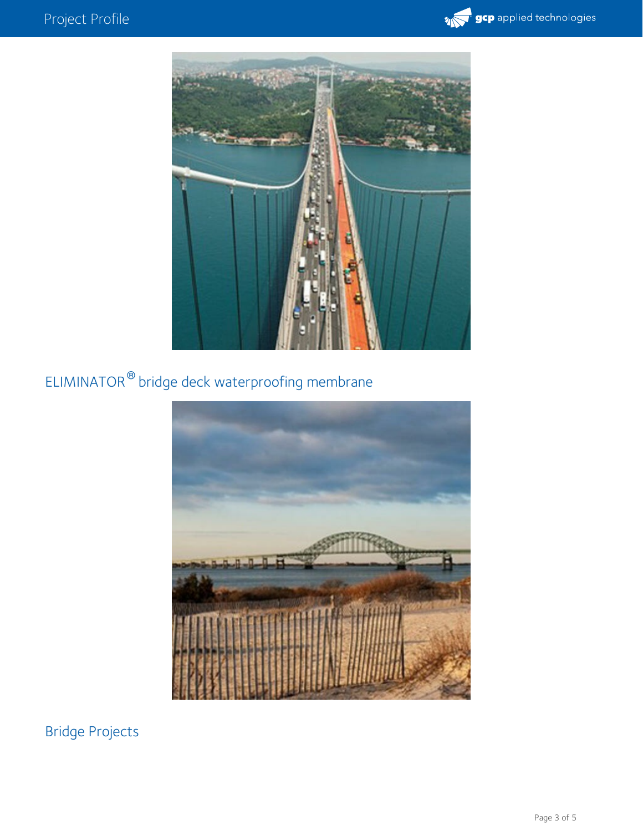



## ELIMINATOR  $^\circledR$  bridge deck waterproofing membrane



Bridge Projects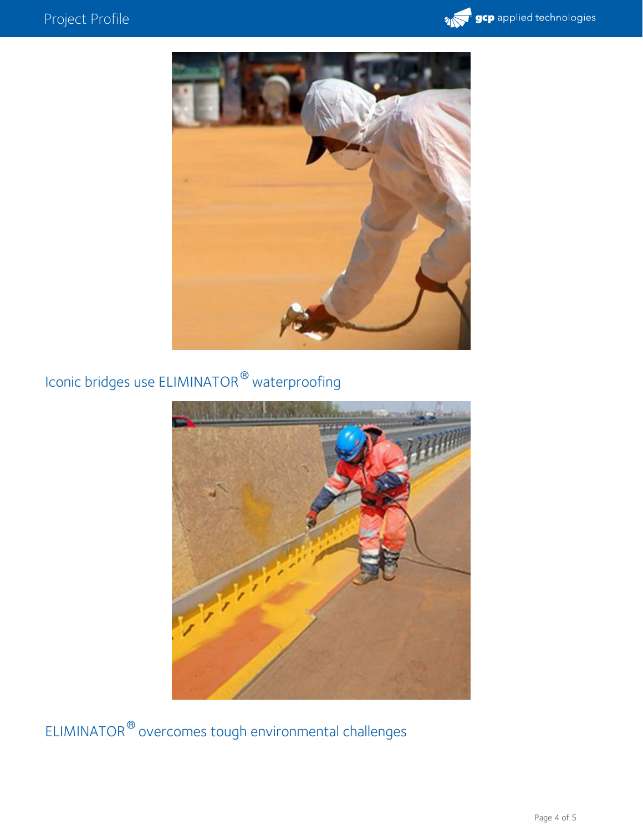## Project Profile





## Iconic bridges use ELIMINATOR  $^\circledR$  waterproofing



ELIMINATOR  $^\circledR$  overcomes tough environmental challenges